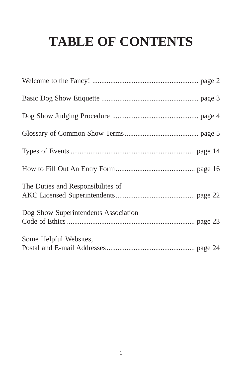# **TABLE OF CONTENTS**

| The Duties and Responsibilities of   |
|--------------------------------------|
| Dog Show Superintendents Association |
| Some Helpful Websites,               |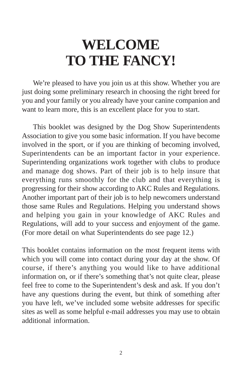# **WELCOME TO THE FANCY!**

We're pleased to have you join us at this show. Whether you are just doing some preliminary research in choosing the right breed for you and your family or you already have your canine companion and want to learn more, this is an excellent place for you to start.

This booklet was designed by the Dog Show Superintendents Association to give you some basic information. If you have become involved in the sport, or if you are thinking of becoming involved, Superintendents can be an important factor in your experience. Superintending organizations work together with clubs to produce and manage dog shows. Part of their job is to help insure that everything runs smoothly for the club and that everything is progressing for their show according to AKC Rules and Regulations. Another important part of their job is to help newcomers understand those same Rules and Regulations. Helping you understand shows and helping you gain in your knowledge of AKC Rules and Regulations, will add to your success and enjoyment of the game. (For more detail on what Superintendents do see page 12.)

This booklet contains information on the most frequent items with which you will come into contact during your day at the show. Of course, if there's anything you would like to have additional information on, or if there's something that's not quite clear, please feel free to come to the Superintendent's desk and ask. If you don't have any questions during the event, but think of something after you have left, we've included some website addresses for specific sites as well as some helpful e-mail addresses you may use to obtain additional information.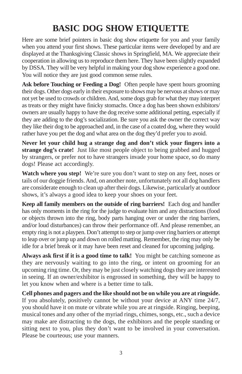## **BASIC DOG SHOW ETIQUETTE**

Here are some brief pointers in basic dog show etiquette for you and your family when you attend your first shows. These particular items were developed by and are displayed at the Thanksgiving Classic shows in Springfield, MA. We appreciate their cooperation in allowing us to reproduce them here. They have been slightly expanded by DSSA. They will be very helpful in making your dog show experience a good one. You will notice they are just good common sense rules.

**Ask before Touching or Feeding a Dog!** Often people have spent hours grooming their dogs. Other dogs early in their exposure to shows may be nervous at shows or may not yet be used to crowds or children. And, some dogs grab for what they may interpret as treats or they might have finicky stomachs. Once a dog has been shown exhibitors/ owners are usually happy to have the dog receive some additional petting, especially if they are adding to the dog's socialization. Be sure you ask the owner the correct way they like their dog to be approached and, in the case of a coated dog, where they would rather have you pet the dog and what area on the dog they'd prefer you to avoid.

**Never let your child hug a strange dog and don't stick your fingers into a strange dog's crate!** Just like most people object to being grabbed and hugged by strangers, or prefer not to have strangers invade your home space, so do many dogs! Please act accordingly.

**Watch where you step!** We're sure you don't want to step on any feet, noses or tails of our doggie friends. And, on another note, unfortunately not all dog handlers are considerate enough to clean up after their dogs. Likewise, particularly at outdoor shows, it's always a good idea to keep your shoes on your feet.

**Keep all family members on the outside of ring barriers!** Each dog and handler has only moments in the ring for the judge to evaluate him and any distractions (food or objects thrown into the ring, body parts hanging over or under the ring barriers, and/or loud disturbances) can throw their performance off. And please remember, an empty ring is not a playpen. Don't attempt to step or jump over ring barriers or attempt to leap over or jump up and down on rolled matting. Remember, the ring may only be idle for a brief break or it may have been reset and cleaned for upcoming judging.

**Always ask first if it is a good time to talk!** You might be catching someone as they are nervously waiting to go into the ring, or intent on grooming for an upcoming ring time. Or, they may be just closely watching dogs they are interested in seeing. If an owner/exhibitor is engrossed in something, they will be happy to let you know when and where is a better time to talk.

**Cell phones and pagers and the like should not be on while you are at ringside.** If you absolutely, positively cannot be without your device at ANY time 24/7, you should have it on mute or vibrate while you are at ringside. Ringing, beeping, musical tones and any other of the myriad rings, chimes, songs, etc., such a device may make are distracting to the dogs, the exhibitors and the people standing or sitting next to you, plus they don't want to be involved in your conversation. Please be courteous; use your manners.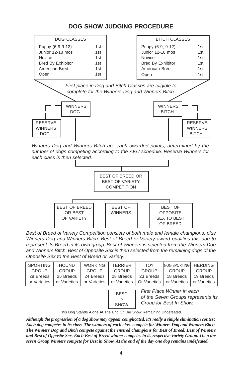#### DOG CLASSES Puppy (6-9 9-12) 1st Junior 12-18 mos 1st Novice 1st Bred By Exhibitor 1st American-Bred 1st Open 1st BITCH CLASSES Puppy (6-9, 9-12) 1st Junior 12-18 mos 1st Novice 1st Bred By Exhibitor 1st American-Bred 1st Open 1st *First place in Dog and Bitch Classes are eligible to complete for the Winners Dog and Winners Bitch.* WINNERS WINNERS WINNERS **BITCH** RESERVE RESERVE WINNERS | | | | WINNERS DOG BITCH

**DOG SHOW JUDGING PROCEDURE**

*Winners Dog and Winners Bitch are each awarded points, determined by the number of dogs competing according to the AKC schedule. Reserve Winners for each class is then selected.*



*Best of Breed or Variety Competition consists of both male and female champions, plus Winners Dog and Winners Bitch. Best of Breed or Variety award qualifies this dog to represent its Breed in its own group. Best of Winners is selected from the Winners Dog and Winners Bitch. Best of Opposite Sex is then selected from the remaining dogs of the Opposite Sex to the Best of Breed or Variety.*

| SPORTING<br><b>HOUND</b>                                                                               | <b>WORKING</b> | <b>TERRIER</b> | <b>TOY</b>            | INON-SPORTING HERDING |           |
|--------------------------------------------------------------------------------------------------------|----------------|----------------|-----------------------|-----------------------|-----------|
| <b>GROUP</b><br>GROUP                                                                                  | GROUP          | GROUP          | GROUP                 | GROUP                 | GROUP     |
| 28 Breeds   25 Breeds                                                                                  | 24 Breeds      | 28 Breeds      | 23 Breeds   18 Breeds |                       | 19 Breeds |
| or Varieties   or Varieties   or Varieties   or Varieties   Or Varieties   or Varieties   or Varieties |                |                |                       |                       |           |

| BEST |  |
|------|--|
| IN   |  |
| SHOW |  |

*First Place Winner in each of the Seven Groups represents its Group for Best In Show.*

This Dog Stands Alone At The End Of The Show Remaining Undefeated.

*Although the progression of a dog show may appear complicated, it's really a simple elimination contest. Each dog competes in its class. The winners of each class compete for Winners Dog and Winners Bitch. The Winners Dog and Bitch compete against the entered champions for Best of Breed, Best of Winners and Best of Opposite Sex. Each Best of Breed winner competes in its respective Variety Group. Then the seven Group Winners compete for Best in Show. At the end of the day one dog remains undefeated.*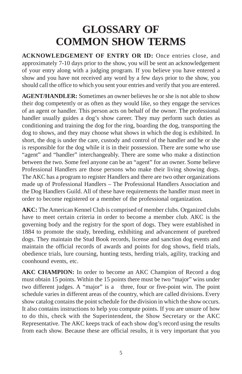# **GLOSSARY OF COMMON SHOW TERMS**

**ACKNOWLEDGEMENT OF ENTRY OR ID:** Once entries close, and approximately 7-10 days prior to the show, you will be sent an acknowledgement of your entry along with a judging program. If you believe you have entered a show and you have not received any word by a few days prior to the show, you should call the office to which you sent your entries and verify that you are entered.

**AGENT/HANDLER:** Sometimes an owner believes he or she is not able to show their dog competently or as often as they would like, so they engage the services of an agent or handler. This person acts on behalf of the owner. The professional handler usually guides a dog's show career. They may perform such duties as conditioning and training the dog for the ring, boarding the dog, transporting the dog to shows, and they may choose what shows in which the dog is exhibited. In short, the dog is under the care, custody and control of the handler and he or she is responsible for the dog while it is in their possession. There are some who use "agent" and "handler" interchangeably. There are some who make a distinction between the two. Some feel anyone can be an "agent" for an owner. Some believe Professional Handlers are those persons who make their living showing dogs. The AKC has a program to register Handlers and there are two other organizations made up of Professional Handlers – The Professional Handlers Association and the Dog Handlers Guild. All of these have requirements the handler must meet in order to become registered or a member of the professional organization.

**AKC:** The American Kennel Club is comprised of member clubs. Organized clubs have to meet certain criteria in order to become a member club. AKC is the governing body and the registry for the sport of dogs. They were established in 1884 to promote the study, breeding, exhibiting and advancement of purebred dogs. They maintain the Stud Book records, license and sanction dog events and maintain the official records of awards and points for dog shows, field trials, obedience trials, lure coursing, hunting tests, herding trials, agility, tracking and coonhound events, etc.

**AKC CHAMPION:** In order to become an AKC Champion of Record a dog must obtain 15 points. Within the 15 points there must be two "major" wins under two different judges. A "major" is a three, four or five-point win. The point schedule varies in different areas of the country, which are called divisions. Every show catalog contains the point schedule for the division in which the show occurs. It also contains instructions to help you compute points. If you are unsure of how to do this, check with the Superintendent, the Show Secretary or the AKC Representative. The AKC keeps track of each show dog's record using the results from each show. Because these are official results, it is very important that you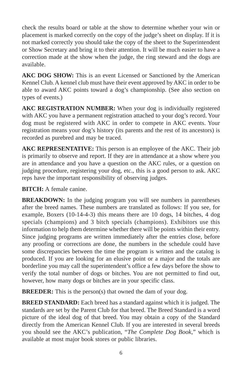check the results board or table at the show to determine whether your win or placement is marked correctly on the copy of the judge's sheet on display. If it is not marked correctly you should take the copy of the sheet to the Superintendent or Show Secretary and bring it to their attention. It will be much easier to have a correction made at the show when the judge, the ring steward and the dogs are available.

**AKC DOG SHOW:** This is an event Licensed or Sanctioned by the American Kennel Club. A kennel club must have their event approved by AKC in order to be able to award AKC points toward a dog's championship. (See also section on types of events.)

**AKC REGISTRATION NUMBER:** When your dog is individually registered with AKC you have a permanent registration attached to your dog's record. Your dog must be registered with AKC in order to compete in AKC events. Your registration means your dog's history (its parents and the rest of its ancestors) is recorded as purebred and may be traced.

**AKC REPRESENTATIVE:** This person is an employee of the AKC. Their job is primarily to observe and report. If they are in attendance at a show where you are in attendance and you have a question on the AKC rules, or a question on judging procedure, registering your dog, etc., this is a good person to ask. AKC reps have the important responsibility of observing judges.

**BITCH:** A female canine.

**BREAKDOWN:** In the judging program you will see numbers in parentheses after the breed names. These numbers are translated as follows: If you see, for example, Boxers (10-14-4-3) this means there are 10 dogs, 14 bitches, 4 dog specials (champions) and 3 bitch specials (champions). Exhibitors use this information to help them determine whether there will be points within their entry. Since judging programs are written immediately after the entries close, before any proofing or corrections are done, the numbers in the schedule could have some discrepancies between the time the program is written and the catalog is produced. If you are looking for an elusive point or a major and the totals are borderline you may call the superintendent's office a few days before the show to verify the total number of dogs or bitches. You are not permitted to find out, however, how many dogs or bitches are in your specific class.

**BREEDER:** This is the person(s) that owned the dam of your dog.

**BREED STANDARD:** Each breed has a standard against which it is judged. The standards are set by the Parent Club for that breed. The Breed Standard is a word picture of the ideal dog of that breed. You may obtain a copy of the Standard directly from the American Kennel Club. If you are interested in several breeds you should see the AKC's publication, "*The Complete Dog Book,*" which is available at most major book stores or public libraries.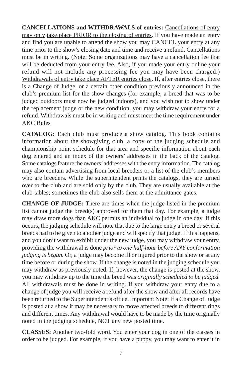**CANCELLATIONS and WITHDRAWALS of entries:** Cancellations of entry may only take place PRIOR to the closing of entries. If you have made an entry and find you are unable to attend the show you may CANCEL your entry at any time prior to the show's closing date and time and receive a refund. Cancellations must be in writing. (Note: Some organizations may have a cancellation fee that will be deducted from your entry fee. Also, if you made your entry online your refund will not include any processing fee you may have been charged.) Withdrawals of entry take place AFTER entries close. If, after entries close, there is a Change of Judge, or a certain other condition previously announced in the club's premium list for the show changes (for example, a breed that was to be judged outdoors must now be judged indoors), and you wish not to show under the replacement judge or the new condition, you may withdraw your entry for a refund. Withdrawals must be in writing and must meet the time requirement under AKC Rules

**CATALOG:** Each club must produce a show catalog. This book contains information about the showgiving club, a copy of the judging schedule and championship point schedule for that area and specific information about each dog entered and an index of the owners' addresses in the back of the catalog. Some catalogs feature the owners' addresses with the entry information. The catalog may also contain advertising from local breeders or a list of the club's members who are breeders. While the superintendent prints the catalogs, they are turned over to the club and are sold only by the club. They are usually available at the club tables; sometimes the club also sells them at the admittance gates.

**CHANGE OF JUDGE:** There are times when the judge listed in the premium list cannot judge the breed(s) approved for them that day. For example, a judge may draw more dogs than AKC permits an individual to judge in one day. If this occurs, the judging schedule will note that due to the large entry a breed or several breeds had to be given to another judge and will specify that judge. If this happens, and you don't want to exhibit under the new judge, you may withdraw your entry, providing the withdrawal is done *prior to one half-hour before ANY conformation judging is begun.* Or, a judge may become ill or injured prior to the show or at any time before or during the show. If the change is noted in the judging schedule you may withdraw as previously noted. If, however, the change is posted at the show, you may withdraw up to the time the breed was *originally scheduled to be judged.* All withdrawals must be done in writing. If you withdraw your entry due to a change of judge you will receive a refund after the show and after all records have been returned to the Superintendent's office. Important Note: If a Change of Judge is posted at a show it may be necessary to move affected breeds to different rings and different times. Any withdrawal would have to be made by the time originally noted in the judging schedule, NOT any new posted time.

**CLASSES:** Another two-fold word. You enter your dog in one of the classes in order to be judged. For example, if you have a puppy, you may want to enter it in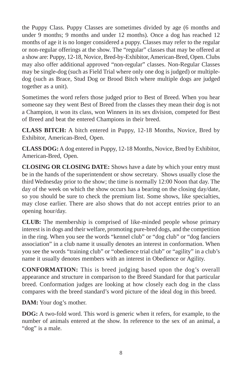the Puppy Class. Puppy Classes are sometimes divided by age (6 months and under 9 months; 9 months and under 12 months). Once a dog has reached 12 months of age it is no longer considered a puppy. Classes may refer to the regular or non-regular offerings at the show. The "regular" classes that may be offered at a show are: Puppy, 12-18, Novice, Bred-by-Exhibitor, American-Bred, Open. Clubs may also offer additional approved "non-regular" classes. Non-Regular Classes may be single-dog (such as Field Trial where only one dog is judged) or multipledog (such as Brace, Stud Dog or Brood Bitch where multiple dogs are judged together as a unit).

Sometimes the word refers those judged prior to Best of Breed. When you hear someone say they went Best of Breed from the classes they mean their dog is not a Champion, it won its class, won Winners in its sex division, competed for Best of Breed and beat the entered Champions in their breed.

**CLASS BITCH:** A bitch entered in Puppy, 12-18 Months, Novice, Bred by Exhibitor, American-Bred, Open.

**CLASS DOG:** A dog entered in Puppy, 12-18 Months, Novice, Bred by Exhibitor, American-Bred, Open.

**CLOSING OR CLOSING DATE:** Shows have a date by which your entry must be in the hands of the superintendent or show secretary. Shows usually close the third Wednesday prior to the show; the time is normally 12:00 Noon that day. The day of the week on which the show occurs has a bearing on the closing day/date, so you should be sure to check the premium list. Some shows, like specialties, may close earlier. There are also shows that do not accept entries prior to an opening hour/day.

**CLUB:** The membership is comprised of like-minded people whose primary interest is in dogs and their welfare, promoting pure-bred dogs, and the competition in the ring. When you see the words "kennel club" or "dog club" or "dog fanciers association" in a club name it usually denotes an interest in conformation. When you see the words "training club" or "obedience trial club" or "agility" in a club's name it usually denotes members with an interest in Obedience or Agility.

**CONFORMATION:** This is breed judging based upon the dog's overall appearance and structure in comparison to the Breed Standard for that particular breed. Conformation judges are looking at how closely each dog in the class compares with the breed standard's word picture of the ideal dog in this breed.

**DAM:** Your dog's mother.

**DOG:** A two-fold word. This word is generic when it refers, for example, to the number of animals entered at the show. In reference to the sex of an animal, a "dog" is a male.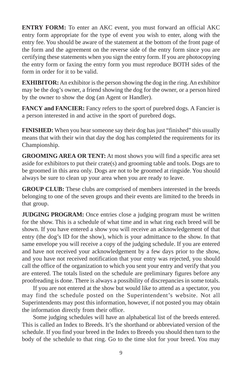**ENTRY FORM:** To enter an AKC event, you must forward an official AKC entry form appropriate for the type of event you wish to enter, along with the entry fee. You should be aware of the statement at the bottom of the front page of the form and the agreement on the reverse side of the entry form since you are certifying these statements when you sign the entry form. If you are photocopying the entry form or faxing the entry form you must reproduce BOTH sides of the form in order for it to be valid.

**EXHIBITOR:** An exhibitor is the person showing the dog in the ring. An exhibitor may be the dog's owner, a friend showing the dog for the owner, or a person hired by the owner to show the dog (an Agent or Handler).

**FANCY and FANCIER:** Fancy refers to the sport of purebred dogs. A Fancier is a person interested in and active in the sport of purebred dogs.

**FINISHED:** When you hear someone say their dog has just "finished" this usually means that with their win that day the dog has completed the requirements for its Championship.

**GROOMING AREA OR TENT:** At most shows you will find a specific area set aside for exhibitors to put their crate(s) and grooming table and tools. Dogs are to be groomed in this area only. Dogs are not to be groomed at ringside. You should always be sure to clean up your area when you are ready to leave.

**GROUP CLUB:** These clubs are comprised of members interested in the breeds belonging to one of the seven groups and their events are limited to the breeds in that group.

**JUDGING PROGRAM:** Once entries close a judging program must be written for the show. This is a schedule of what time and in what ring each breed will be shown. If you have entered a show you will receive an acknowledgement of that entry (the dog's ID for the show), which is your admittance to the show. In that same envelope you will receive a copy of the judging schedule. If you are entered and have not received your acknowledgement by a few days prior to the show, and you have not received notification that your entry was rejected, you should call the office of the organization to which you sent your entry and verify that you are entered. The totals listed on the schedule are preliminary figures before any proofreading is done. There is always a possibility of discrepancies in some totals.

If you are not entered at the show but would like to attend as a spectator, you may find the schedule posted on the Superintendent's website. Not all Superintendents may post this information, however, if not posted you may obtain the information directly from their office.

Some judging schedules will have an alphabetical list of the breeds entered. This is called an Index to Breeds. It's the shorthand or abbreviated version of the schedule. If you find your breed in the Index to Breeds you should then turn to the body of the schedule to that ring. Go to the time slot for your breed. You may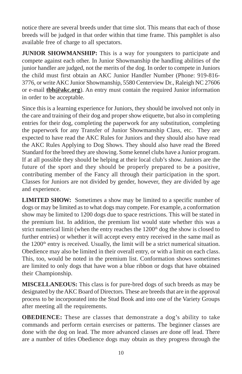notice there are several breeds under that time slot. This means that each of those breeds will be judged in that order within that time frame. This pamphlet is also available free of charge to all spectators.

**JUNIOR SHOWMANSHIP:** This is a way for youngsters to participate and compete against each other. In Junior Showmanship the handling abilities of the junior handler are judged, not the merits of the dog. In order to compete in Juniors the child must first obtain an AKC Junior Handler Number (Phone: 919-816- 3776, or write AKC Junior Showmanship, 5580 Centerview Dr., Raleigh NC 27606 or e-mail **tbh@akc.org**). An entry must contain the required Junior information in order to be acceptable.

Since this is a learning experience for Juniors, they should be involved not only in the care and training of their dog and proper show etiquette, but also in completing entries for their dog, completing the paperwork for any substitution, completing the paperwork for any Transfer of Junior Showmanship Class, etc. They are expected to have read the AKC Rules for Juniors and they should also have read the AKC Rules Applying to Dog Shows. They should also have read the Breed Standard for the breed they are showing. Some kennel clubs have a Junior program. If at all possible they should be helping at their local club's show. Juniors are the future of the sport and they should be properly prepared to be a positive, contributing member of the Fancy all through their participation in the sport. Classes for Juniors are not divided by gender, however, they are divided by age and experience.

**LIMITED SHOW:** Sometimes a show may be limited to a specific number of dogs or may be limited as to what dogs may compete. For example, a conformation show may be limited to 1200 dogs due to space restrictions. This will be stated in the premium list. In addition, the premium list would state whether this was a strict numerical limit (when the entry reaches the  $1200<sup>th</sup>$  dog the show is closed to further entries) or whether it will accept every entry received in the same mail as the  $1200<sup>th</sup>$  entry is received. Usually, the limit will be a strict numerical situation. Obedience may also be limited in their overall entry, or with a limit on each class. This, too, would be noted in the premium list. Conformation shows sometimes are limited to only dogs that have won a blue ribbon or dogs that have obtained their Championship.

**MISCELLANEOUS:** This class is for pure-bred dogs of such breeds as may be designated by the AKC Board of Directors. These are breeds that are in the approval process to be incorporated into the Stud Book and into one of the Variety Groups after meeting all the requirements.

**OBEDIENCE:** These are classes that demonstrate a dog's ability to take commands and perform certain exercises or patterns. The beginner classes are done with the dog on lead. The more advanced classes are done off lead. There are a number of titles Obedience dogs may obtain as they progress through the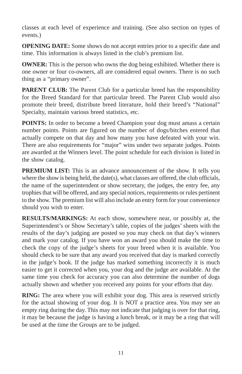classes at each level of experience and training. (See also section on types of events.)

**OPENING DATE:** Some shows do not accept entries prior to a specific date and time. This information is always listed in the club's premium list.

**OWNER:** This is the person who owns the dog being exhibited. Whether there is one owner or four co-owners, all are considered equal owners. There is no such thing as a "primary owner".

PARENT CLUB: The Parent Club for a particular breed has the responsibility for the Breed Standard for that particular breed. The Parent Club would also promote their breed, distribute breed literature, hold their breed's "National" Specialty, maintain various breed statistics, etc.

**POINTS:** In order to become a breed Champion your dog must amass a certain number points. Points are figured on the number of dogs/bitches entered that actually compete on that day and how many you have defeated with your win. There are also requirements for "major" wins under two separate judges. Points are awarded at the Winners level. The point schedule for each division is listed in the show catalog.

**PREMIUM LIST:** This is an advance announcement of the show. It tells you where the show is being held, the date(s), what classes are offered, the club officials, the name of the superintendent or show secretary, the judges, the entry fee, any trophies that will be offered, and any special notices, requirements or rules pertinent to the show. The premium list will also include an entry form for your convenience should you wish to enter.

**RESULTS/MARKINGS:** At each show, somewhere near, or possibly at, the Superintendent's or Show Secretary's table, copies of the judges' sheets with the results of the day's judging are posted so you may check on that day's winners and mark your catalog. If you have won an award you should make the time to check the copy of the judge's sheets for your breed when it is available. You should check to be sure that any award you received that day is marked correctly in the judge's book. If the judge has marked something incorrectly it is much easier to get it corrected when you, your dog and the judge are available. At the same time you check for accuracy you can also determine the number of dogs actually shown and whether you received any points for your efforts that day.

**RING:** The area where you will exhibit your dog. This area is reserved strictly for the actual showing of your dog. It is NOT a practice area. You may see an empty ring during the day. This may not indicate that judging is over for that ring, it may be because the judge is having a lunch break, or it may be a ring that will be used at the time the Groups are to be judged.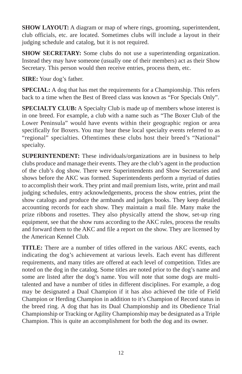**SHOW LAYOUT:** A diagram or map of where rings, grooming, superintendent, club officials, etc. are located. Sometimes clubs will include a layout in their judging schedule and catalog, but it is not required.

**SHOW SECRETARY:** Some clubs do not use a superintending organization. Instead they may have someone (usually one of their members) act as their Show Secretary. This person would then receive entries, process them, etc.

**SIRE:** Your dog's father.

**SPECIAL:** A dog that has met the requirements for a Championship. This refers back to a time when the Best of Breed class was known as "For Specials Only".

**SPECIALTY CLUB:** A Specialty Club is made up of members whose interest is in one breed. For example, a club with a name such as "The Boxer Club of the Lower Peninsula" would have events within their geographic region or area specifically for Boxers. You may hear these local specialty events referred to as "regional" specialties. Oftentimes these clubs host their breed's "National" specialty.

**SUPERINTENDENT:** These individuals/organizations are in business to help clubs produce and manage their events. They are the club's agent in the production of the club's dog show. There were Superintendents and Show Secretaries and shows before the AKC was formed. Superintendents perform a myriad of duties to accomplish their work. They print and mail premium lists, write, print and mail judging schedules, entry acknowledgements, process the show entries, print the show catalogs and produce the armbands and judges books. They keep detailed accounting records for each show. They maintain a mail file. Many make the prize ribbons and rosettes. They also physically attend the show, set-up ring equipment, see that the show runs according to the AKC rules, process the results and forward them to the AKC and file a report on the show. They are licensed by the American Kennel Club.

**TITLE:** There are a number of titles offered in the various AKC events, each indicating the dog's achievement at various levels. Each event has different requirements, and many titles are offered at each level of competition. Titles are noted on the dog in the catalog. Some titles are noted prior to the dog's name and some are listed after the dog's name. You will note that some dogs are multitalented and have a number of titles in different disciplines. For example, a dog may be designated a Dual Champion if it has also achieved the title of Field Champion or Herding Champion in addition to it's Champion of Record status in the breed ring. A dog that has its Dual Championship and its Obedience Trial Championship or Tracking or Agility Championship may be designated as a Triple Champion. This is quite an accomplishment for both the dog and its owner.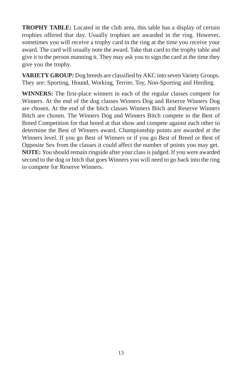**TROPHY TABLE:** Located in the club area, this table has a display of certain trophies offered that day. Usually trophies are awarded in the ring. However, sometimes you will receive a trophy card in the ring at the time you receive your award. The card will usually note the award. Take that card to the trophy table and give it to the person manning it. They may ask you to sign the card at the time they give you the trophy.

**VARIETY GROUP:** Dog breeds are classified by AKC into seven Variety Groups. They are: Sporting, Hound, Working, Terrier, Toy, Non-Sporting and Herding.

**WINNERS:** The first-place winners in each of the regular classes compete for Winners. At the end of the dog classes Winners Dog and Reserve Winners Dog are chosen. At the end of the bitch classes Winners Bitch and Reserve Winners Bitch are chosen. The Winners Dog and Winners Bitch compete in the Best of Breed Competition for that breed at that show and compete against each other to determine the Best of Winners award. Championship points are awarded at the Winners level. If you go Best of Winners or if you go Best of Breed or Best of Opposite Sex from the classes it could affect the number of points you may get. **NOTE:** You should remain ringside after your class is judged. If you were awarded second to the dog or bitch that goes Winners you will need to go back into the ring to compete for Reserve Winners.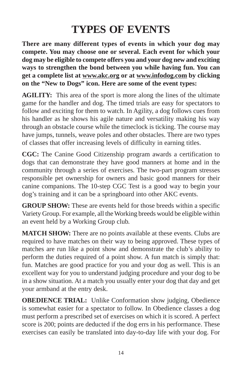# **TYPES OF EVENTS**

**There are many different types of events in which your dog may compete. You may choose one or several. Each event for which your dog may be eligible to compete offers you and your dog new and exciting ways to strengthen the bond between you while having fun. You can get a complete list at www.akc.org or at www.infodog.com by clicking on the "New to Dogs" icon. Here are some of the event types:**

**AGILITY:** This area of the sport is more along the lines of the ultimate game for the handler and dog. The timed trials are easy for spectators to follow and exciting for them to watch. In Agility, a dog follows cues from his handler as he shows his agile nature and versatility making his way through an obstacle course while the timeclock is ticking. The course may have jumps, tunnels, weave poles and other obstacles. There are two types of classes that offer increasing levels of difficulty in earning titles.

**CGC:** The Canine Good Citizenship program awards a certification to dogs that can demonstrate they have good manners at home and in the community through a series of exercises. The two-part program stresses responsible pet ownership for owners and basic good manners for their canine companions. The 10-step CGC Test is a good way to begin your dog's training and it can be a springboard into other AKC events.

**GROUP SHOW:** These are events held for those breeds within a specific Variety Group. For example, all the Working breeds would be eligible within an event held by a Working Group club.

**MATCH SHOW:** There are no points available at these events. Clubs are required to have matches on their way to being approved. These types of matches are run like a point show and demonstrate the club's ability to perform the duties required of a point show. A fun match is simply that: fun. Matches are good practice for you and your dog as well. This is an excellent way for you to understand judging procedure and your dog to be in a show situation. At a match you usually enter your dog that day and get your armband at the entry desk.

**OBEDIENCE TRIAL:** Unlike Conformation show judging, Obedience is somewhat easier for a spectator to follow. In Obedience classes a dog must perform a prescribed set of exercises on which it is scored. A perfect score is 200; points are deducted if the dog errs in his performance. These exercises can easily be translated into day-to-day life with your dog. For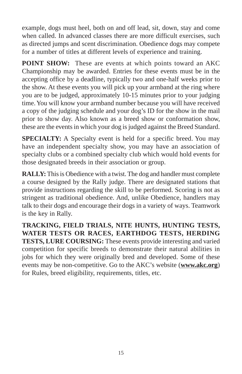example, dogs must heel, both on and off lead, sit, down, stay and come when called. In advanced classes there are more difficult exercises, such as directed jumps and scent discrimination. Obedience dogs may compete for a number of titles at different levels of experience and training.

**POINT SHOW:** These are events at which points toward an AKC Championship may be awarded. Entries for these events must be in the accepting office by a deadline, typically two and one-half weeks prior to the show. At these events you will pick up your armband at the ring where you are to be judged, approximately 10-15 minutes prior to your judging time. You will know your armband number because you will have received a copy of the judging schedule and your dog's ID for the show in the mail prior to show day. Also known as a breed show or conformation show, these are the events in which your dog is judged against the Breed Standard.

**SPECIALTY:** A Specialty event is held for a specific breed. You may have an independent specialty show, you may have an association of specialty clubs or a combined specialty club which would hold events for those designated breeds in their association or group.

**RALLY:** This is Obedience with a twist. The dog and handler must complete a course designed by the Rally judge. There are designated stations that provide instructions regarding the skill to be performed. Scoring is not as stringent as traditional obedience. And, unlike Obedience, handlers may talk to their dogs and encourage their dogs in a variety of ways. Teamwork is the key in Rally.

**TRACKING, FIELD TRIALS, NITE HUNTS, HUNTING TESTS, WATER TESTS OR RACES, EARTHDOG TESTS, HERDING TESTS, LURE COURSING:** These events provide interesting and varied competition for specific breeds to demonstrate their natural abilities in jobs for which they were originally bred and developed. Some of these events may be non-competitive. Go to the AKC's website (**www.akc.org**) for Rules, breed eligibility, requirements, titles, etc.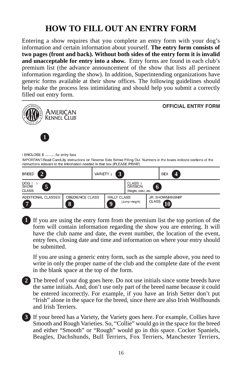### **HOW TO FILL OUT AN ENTRY FORM**

Entering a show requires that you complete an entry form with your dog's information and certain information about yourself. **The entry form consists of two pages (front and back). Without both sides of the entry form it is invalid and unacceptable for entry into a show.** Entry forms are found in each club's premium list (the advance announcement of the show that lists all pertinent information regarding the show). In addition, Superintending organizations have generic forms available at their show offices. The following guidelines should help make the process less intimidating and should help you submit a correctly filled out entry form.



1. If you are using the entry form from the premium list the top portion of the **1** form will contain information regarding the show you are entering. It will have the club name and date, the event number, the location of the event, entry fees, closing date and time and information on where your entry should be submitted.

If you are using a generic entry form, such as the sample above, you need to write in only the proper name of the club and the complete date of the event in the blank space at the top of the form.

2. The breed of your dog goes here. Do not use initials since some breeds have **2** the same initials. And, don't use only part of the breed name because it could be entered incorrectly. For example, if you have an Irish Setter don't put "Irish" alone in the space for the breed, since there are also Irish Wolfhounds and Irish Terriers.

3. If your breed has a Variety, the Variety goes here. For example, Collies have **3** Smooth and Rough Varieties. So, "Collie" would go in the space for the breed and either "Smooth" or "Rough" would go in this space. Cocker Spaniels, Beagles, Dachshunds, Bull Terriers, Fox Terriers, Manchester Terriers,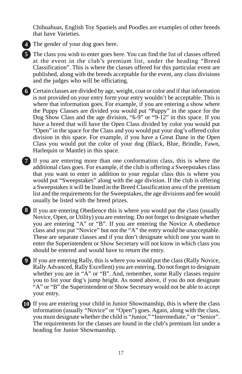Chihuahuas, English Toy Spaniels and Poodles are examples of other breeds that have Varieties.



4. The gender of your dog goes here. **4**

The class you wish to enter goes here. You can find the list of classes offered at the event in the club's premium list, under the heading "Breed Classification". This is where the classes offered for this particular event are published, along with the breeds acceptable for the event, any class divisions and the judges who will be officiating.

6. Certain classes are divided by age, weight, coat or color and if that information **6** is not provided on your entry form your entry wouldn't be acceptable. This is where that information goes. For example, if you are entering a show where the Puppy Classes are divided you would put "Puppy" in the space for the Dog Show Class and the age division, " $6-9$ " or " $9-12$ " in this space. If you have a breed that will have the Open Class divided by color you would put "Open" in the space for the Class and you would put your dog's offered color division in this space. For example, if you have a Great Dane in the Open Class you would put the color of your dog (Black, Blue, Brindle, Fawn, Harlequin or Mantle) in this space.

7. If you are entering more than one conformation class, this is where the **7** additional class goes. For example, if the club is offering a Sweepstakes class that you want to enter in addition to your regular class this is where you would put "Sweepstakes" along with the age division. If the club is offering a Sweepstakes it will be listed in the Breed Classification area of the premium list and the requirements for the Sweepstakes, the age divisions and fee would usually be listed with the breed prizes.

8. If you are entering Obedience this is where you would put the class (usually **8** Novice, Open, or Utility) you are entering. Do not forget to designate whether you are entering "A" or "B". If you are entering the Novice A obedience class and you put "Novice" but not the "A" the entry would be unacceptable. These are separate classes and if you don't designate which one you want to enter the Superintendent or Show Secretary will not know in which class you should be entered and would have to return the entry.

9. If you are entering Rally, this is where you would put the class (Rally Novice, **9** Rally Advanced, Rally Excellent) you are entering. Do not forget to designate whether you are in "A" or "B". And, remember, some Rally classes require you to list your dog's jump height. As noted above, if you do not designate "A" or "B" the Superintendent or Show Secretary would not be able to accept your entry.

10. If you are entering your child in Junior Showmanship, this is where the class **10**information (usually "Novice" or "Open") goes. Again, along with the class, you must designate whether the child is "Junior," "Intermediate," or "Senior". The requirements for the classes are found in the club's premium list under a heading for Junior Showmanship.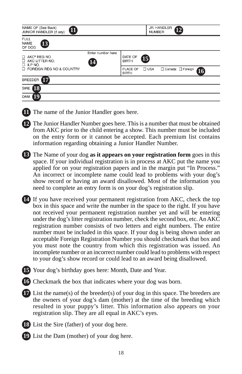| NAME OF (See Back)<br>⑪<br>JUNIOR HANDLER (if any)                                      | JR. HANDLER<br>$\mathbf{D}$<br><b>NUMBER</b>                       |
|-----------------------------------------------------------------------------------------|--------------------------------------------------------------------|
| <b>FULL</b><br>$\overline{13}$<br><b>NAME</b><br>OF DOG                                 |                                                                    |
| Enter number here<br>AKC® REG NO.<br>П.<br>AKC LITTER NO.<br>П.<br>14<br>$\Box$ ILP NO. | DATE OF<br>Œ<br><b>BIRTH</b>                                       |
| <b>EXECUTE IN THE REG NO &amp; COUNTRY</b>                                              | □ Canada □ Foreign<br>PLACE OF<br>$\Box$ USA<br>16<br><b>BIRTH</b> |
| (17)<br><b>BREEDER</b>                                                                  |                                                                    |
| <b>18</b><br><b>SIRE</b>                                                                |                                                                    |
| 19<br><b>DAM</b>                                                                        |                                                                    |

**11** The name of the Junior Handler goes here.

12. The Junior Handler Number goes here. This is a number that must be obtained **12** from AKC prior to the child entering a show. This number must be included on the entry form or it cannot be accepted. Each premium list contains information regarding obtaining a Junior Handler Number.



13. The Name of your dog **as it appears on your registration form** goes in this **13** space. If your individual registration is in process at AKC put the name you applied for on your registration papers and in the margin put "In Process." An incorrect or incomplete name could lead to problems with your dog's show record or having an award disallowed. Most of the information you need to complete an entry form is on your dog's registration slip.

14. If you have received your permanent registration from AKC, check the top **14** box in this space and write the number in the space to the right. If you have not received your permanent registration number yet and will be entering under the dog's litter registration number, check the second box, etc. An AKC registration number consists of two letters and eight numbers. The entire number must be included in this space. If your dog is being shown under an acceptable Foreign Registration Number you should checkmark that box and you must note the country from which this registration was issued. An incomplete number or an incorrect number could lead to problems with respect to your dog's show record or could lead to an award being disallowed.

15. Your dog's birthday goes here: Month, Date and Year. **15**

**16** Checkmark the box that indicates where your dog was born.

17. List the name(s) of the breeder(s) of your dog in this space. The breeders are **17** the owners of your dog's dam (mother) at the time of the breeding which resulted in your puppy's litter. This information also appears on your registration slip. They are all equal in AKC's eyes.



19. List the Dam (mother) of your dog here. **19**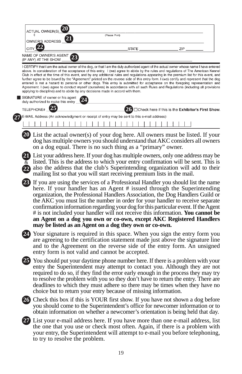|             | <b>ACTUAL OWNER(S)</b>                                                | (Please Print)                                                                                                                                                                                                                                                                                                                                                                                                                                                                                                                                                                                                                                                                                                                                                                                                                                                                                                           |                                                         |
|-------------|-----------------------------------------------------------------------|--------------------------------------------------------------------------------------------------------------------------------------------------------------------------------------------------------------------------------------------------------------------------------------------------------------------------------------------------------------------------------------------------------------------------------------------------------------------------------------------------------------------------------------------------------------------------------------------------------------------------------------------------------------------------------------------------------------------------------------------------------------------------------------------------------------------------------------------------------------------------------------------------------------------------|---------------------------------------------------------|
|             | <b>OWNER'S ADDRESS</b>                                                |                                                                                                                                                                                                                                                                                                                                                                                                                                                                                                                                                                                                                                                                                                                                                                                                                                                                                                                          |                                                         |
| <b>CITY</b> |                                                                       | <b>STATE</b>                                                                                                                                                                                                                                                                                                                                                                                                                                                                                                                                                                                                                                                                                                                                                                                                                                                                                                             | ZIP                                                     |
|             | NAME OF OWNER'S AGENT<br>23<br>(IF ANY) AT THE SHOW                   |                                                                                                                                                                                                                                                                                                                                                                                                                                                                                                                                                                                                                                                                                                                                                                                                                                                                                                                          |                                                         |
|             |                                                                       | l CERTIFY that I am the actual owner of the dog, or that I am the duly authorized agent of the actual owner whose name I have entered<br>above. In consideration of the acceptance of this entry, I (we) agree to abide by the rules and regulations of The American Kennel<br>Club in effect at the time of this event, and by any additional rules and regulations appearing in the premium list for this event, and<br>further agree to be bound by the "Agreement" printed on the reverse side of this entry form. I (we) certify and represent that the dog<br>entered is not a hazard to persons or other dogs. This entry is submitted for acceptance on the foregoing representation and<br>Agreement. I (we) agree to conduct myself (ourselves) in accordance with all such Rules and Regulations (including all provisions<br>applying to discipline) and to abide by any decisions made in accord with them. |                                                         |
|             | SIGNATURE of owner or his agent<br>duly authorized to make this entry |                                                                                                                                                                                                                                                                                                                                                                                                                                                                                                                                                                                                                                                                                                                                                                                                                                                                                                                          |                                                         |
|             | $\sqrt{25}$<br>TELEPHONE#                                             |                                                                                                                                                                                                                                                                                                                                                                                                                                                                                                                                                                                                                                                                                                                                                                                                                                                                                                                          | $26$ Ocheck here if this is the Exhibitor's First Show. |
|             |                                                                       | E-MAIL Address (An acknowledgment or receipt of entry may be sent to this e-mail address):                                                                                                                                                                                                                                                                                                                                                                                                                                                                                                                                                                                                                                                                                                                                                                                                                               |                                                         |
|             |                                                                       |                                                                                                                                                                                                                                                                                                                                                                                                                                                                                                                                                                                                                                                                                                                                                                                                                                                                                                                          |                                                         |
|             |                                                                       | 20 List the actual owner(s) of your dog here. All owners must be listed. If your<br>dog has multiple owners you should understand that AKC considers all owners<br>on a dog equal. There is no such thing as a "primary" owner.                                                                                                                                                                                                                                                                                                                                                                                                                                                                                                                                                                                                                                                                                          |                                                         |
|             |                                                                       | 21 List your address here. If your dog has multiple owners, only one address may be<br>$\&$ listed. This is the address to which your entry confirmation will be sent. This is<br>also the address that the club's Superintending organization will add to their<br>mailing list so that you will start receiving premium lists in the mail.                                                                                                                                                                                                                                                                                                                                                                                                                                                                                                                                                                             |                                                         |
|             |                                                                       | 23 If you are using the services of a Professional Handler you should list the name<br>here. If your handler has an Agent # issued through the Superintending<br>organization, the Professional Handlers Association, the Dog Handlers Guild or<br>the AKC you must list the number in order for your handler to receive separate<br>confirmation information regarding your dog for this particular event. If the Agent<br># is not included your handler will not receive this information. You cannot be<br>an Agent on a dog you own or co-own, except AKC Registered Handlers<br>may be listed as an Agent on a dog they own or co-own.                                                                                                                                                                                                                                                                             |                                                         |
|             |                                                                       | Your signature is required in this space. When you sign the entry form you<br>are agreeing to the certification statement made just above the signature line<br>and to the Agreement on the reverse side of the entry form. An unsigned<br>entry form is not valid and cannot be accepted.                                                                                                                                                                                                                                                                                                                                                                                                                                                                                                                                                                                                                               |                                                         |
|             |                                                                       | You should put your daytime phone number here. If there is a problem with your<br>entry the Superintendent may attempt to contact you. Although they are not<br>required to do so, if they find the error early enough in the process they may try<br>to resolve the problem with you so they don't have to return the entry. There are<br>deadlines to which they must adhere so there may be times when they have no<br>choice but to return your entry because of missing information.                                                                                                                                                                                                                                                                                                                                                                                                                                |                                                         |
|             |                                                                       | 26 Check this box if this is YOUR first show. If you have not shown a dog before<br>you should come to the Superintendent's office for newcomer information or to<br>obtain information on whether a newcomer's orientation is being held that day.                                                                                                                                                                                                                                                                                                                                                                                                                                                                                                                                                                                                                                                                      |                                                         |
|             | to try to resolve the problem.                                        | 27 List your e-mail address here. If you have more than one e-mail address, list<br>the one that you use or check most often. Again, if there is a problem with<br>your entry, the Superintendent will attempt to e-mail you before telephoning,                                                                                                                                                                                                                                                                                                                                                                                                                                                                                                                                                                                                                                                                         |                                                         |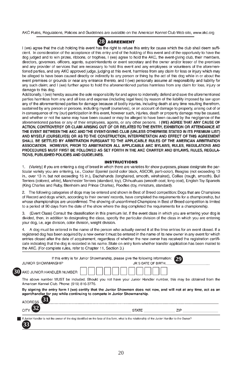AKC Rules, Regulations, Policies and Guidelines are available on the American Kennel Club Web site, www.akc.org



**28 AGREEMENT**<br>I (we) agree that the club holding this event has the right to refuse this entry for cause which the club shall deem sufficient. In consideration of the acceptance of this entry and of the holding of this event and of the opportunity to have the dog judged and to win prizes, ribbons, or trophies, I (we) agree to hold the AKC, the event-giving club, their members, directors, governors, officers, agents, superintendents or event secretary and the owner and/or lessor of the premises and any provider of services that are necessary to hold this event and any employees or volunteers of the aforementioned parties, and any AKC approved judge, judging at this event, harmless from any claim for loss or injury which may be alleged to have been caused directly or indirectly to any person or thing by the act of this dog while in or about the event premises or grounds or near any entrance thereto, and I (we) personally assume all responsibility and liability for any such claim; and I (we) further agree to hold the aforementioned parties harmless from any claim for loss, injury or damage to this dog.

Additionally, I (we) hereby assume the sole responsibility for and agree to indemnify, defend and save the aforementioned parties harmless from any and all loss and expense (including legal fees) by reason of the liability imposed by law upon any of the aforementioned parties for damage because of bodily injuries, including death at any time resulting therefrom. sustained by any person or persons, including myself (ourselves), or on account of damage to property, arising out of or in consequence of my (our) participation in this event, however such, injuries, death or property damage may be caused, and whether or not the same may have been caused or may be alleged to have been caused by the negligence of the aforementioned parties or any of their employees, agents, or any other persons. I (WE) AGREE THAT ANY CAUSE OF ACTION, CONTROVERSY OR CLAIM ARISING OUT OF OR RELATED TO THE ENTRY, EXHIBITION OR ATTENDANCE AT THE EVENT BETWEEN THE AKC AND THE EVENT-GIVING CLUB (UNLESS OTHERWISE STATED IN ITS PREMIUM LIST) AND MYSELF (OURSELVES) OR AS TO THE CONSTRUCTION, INTERPRETATION AND EFFECT OF THIS AGREEMENT SHALL BE SETTLED BY ARBITRATION PURSUANT TO THE APPLICABLE RULES OF THE AMERICAN ARBITRATION ASSOCIATION. HOWEVER, PRIOR TO ARBITRATION ALL APPLICABLE AKC BYLAWS, RULES, REGULATIONS AND PROCEDURES MUST FIRST BE FOLLOWED AS SET FORTH IN THE AKC CHARTER AND BYLAWS, RULES, REGULA-TIONS, PUBLISHED POLICIES AND GUIDELINES.

#### **INSTRUCTIONS**

1. (Variety) if you are entering a dog of breed in which there are varieties for show purposes, please designate the particular variety you are entering, i.e., Cocker Spaniel (solid color black, ASCOB, parti-color), Beagles (not exceeding 13 in., over 13 in. but not exceeding 15 in.), Dachshunds (longhaired, smooth, wirehaired), Collies (rough, smooth), Bull Terriers (colored, white), Manchester Terriers (standard, toy), Chihuahuas (smooth coat, long coat), English Toy Spaniels (King Charles and Ruby, Blenheim and Prince Charles), Poodles (toy, miniature, standard).

2. The following categories of dogs may be entered and shown in Best of Breed competition: Dogs that are Champions of Record and dogs which, according to their owners' records, have completed the requirements for a championship, but whose championships are unconfirmed. The showing of unconfirmed Champions in Best of Breed competition is limited to a period of 90 days from the date of the show where the dog completed the requirements for a championship.

 $\mathcal{R}$ (Event Class) Consult the classification in this premium list. If the event class in which you are entering your dog is divided, then, in addition to designating the class, specify the particular division of the class in which you are entering your dog, i.e, age division, color division, weight division.

 $4<sup>1</sup>$ A dog must be entered in the name of the person who actually owned it at the time entries for an event closed. If a registered dog has been acquired by a new owner it must be entered in the name of its new owner in any event for which entries closed after the date of acquirement, regardless of whether the new owner has received the registration certificate indicating that the dog is recorded in his name. State on entry form whether transfer application has been mailed to the AKC. (For complete rules, refer to Chapter 11, Section 3.)

|                                                                                                                  |                                                                                 | By signing the entry form I (we) certify that the Junior Showman does not now, and will not at any time, act as an |
|------------------------------------------------------------------------------------------------------------------|---------------------------------------------------------------------------------|--------------------------------------------------------------------------------------------------------------------|
|                                                                                                                  |                                                                                 | agent/handler_for pay while continuing to compete in Junior Showmanship.                                           |
|                                                                                                                  |                                                                                 |                                                                                                                    |
| The above number MUST be included. Should you not have your Junior Handler number, this may be obtained from the |                                                                                 | American Kennel Club, Phone: (919) 816-3776.                                                                       |
|                                                                                                                  |                                                                                 | <b>III</b> AKC JUNIOR HANDLER NUMBER                                                                               |
| $\mathbf{v}$<br>JR'S DATE OF BIRTH.                                                                              |                                                                                 | JUNIOR SHOWMANSHIP                                                                                                 |
|                                                                                                                  | If this entry is for Junior Showmanship, please give the following information: |                                                                                                                    |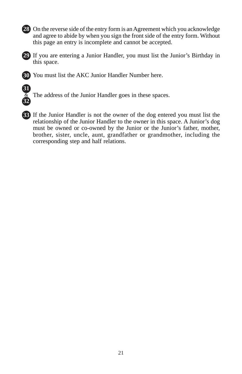28. On the reverse side of the entry form is an Agreement which you acknowledge **28**and agree to abide by when you sign the front side of the entry form. Without this page an entry is incomplete and cannot be accepted.







The address of the Junior Handler goes in these spaces.

33. If the Junior Handler is not the owner of the dog entered you must list the **33** relationship of the Junior Handler to the owner in this space. A Junior's dog must be owned or co-owned by the Junior or the Junior's father, mother, brother, sister, uncle, aunt, grandfather or grandmother, including the corresponding step and half relations.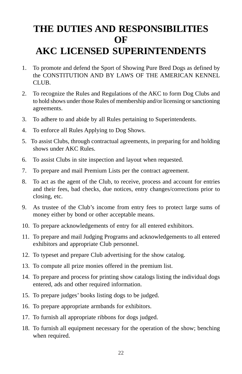## **THE DUTIES AND RESPONSIBILITIES OF AKC LICENSED SUPERINTENDENTS**

- 1. To promote and defend the Sport of Showing Pure Bred Dogs as defined by the CONSTITUTION AND BY LAWS OF THE AMERICAN KENNEL CLUB.
- 2. To recognize the Rules and Regulations of the AKC to form Dog Clubs and to hold shows under those Rules of membership and/or licensing or sanctioning agreements.
- 3. To adhere to and abide by all Rules pertaining to Superintendents.
- 4. To enforce all Rules Applying to Dog Shows.
- 5. To assist Clubs, through contractual agreements, in preparing for and holding shows under AKC Rules.
- 6. To assist Clubs in site inspection and layout when requested.
- 7. To prepare and mail Premium Lists per the contract agreement.
- 8. To act as the agent of the Club, to receive, process and account for entries and their fees, bad checks, due notices, entry changes/corrections prior to closing, etc.
- 9. As trustee of the Club's income from entry fees to protect large sums of money either by bond or other acceptable means.
- 10. To prepare acknowledgements of entry for all entered exhibitors.
- 11. To prepare and mail Judging Programs and acknowledgements to all entered exhibitors and appropriate Club personnel.
- 12. To typeset and prepare Club advertising for the show catalog.
- 13. To compute all prize monies offered in the premium list.
- 14. To prepare and process for printing show catalogs listing the individual dogs entered, ads and other required information.
- 15. To prepare judges' books listing dogs to be judged.
- 16. To prepare appropriate armbands for exhibitors.
- 17. To furnish all appropriate ribbons for dogs judged.
- 18. To furnish all equipment necessary for the operation of the show; benching when required.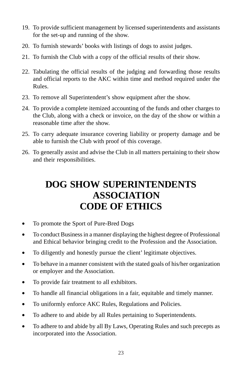- 19. To provide sufficient management by licensed superintendents and assistants for the set-up and running of the show.
- 20. To furnish stewards' books with listings of dogs to assist judges.
- 21. To furnish the Club with a copy of the official results of their show.
- 22. Tabulating the official results of the judging and forwarding those results and official reports to the AKC within time and method required under the Rules.
- 23. To remove all Superintendent's show equipment after the show.
- 24. To provide a complete itemized accounting of the funds and other charges to the Club, along with a check or invoice, on the day of the show or within a reasonable time after the show.
- 25. To carry adequate insurance covering liability or property damage and be able to furnish the Club with proof of this coverage.
- 26. To generally assist and advise the Club in all matters pertaining to their show and their responsibilities.

# **DOG SHOW SUPERINTENDENTS ASSOCIATION CODE OF ETHICS**

- To promote the Sport of Pure-Bred Dogs
- To conduct Business in a manner displaying the highest degree of Professional and Ethical behavior bringing credit to the Profession and the Association.
- To diligently and honestly pursue the client' legitimate objectives.
- To behave in a manner consistent with the stated goals of his/her organization or employer and the Association.
- To provide fair treatment to all exhibitors.
- To handle all financial obligations in a fair, equitable and timely manner.
- To uniformly enforce AKC Rules, Regulations and Policies.
- To adhere to and abide by all Rules pertaining to Superintendents.
- To adhere to and abide by all By Laws, Operating Rules and such precepts as incorporated into the Association.